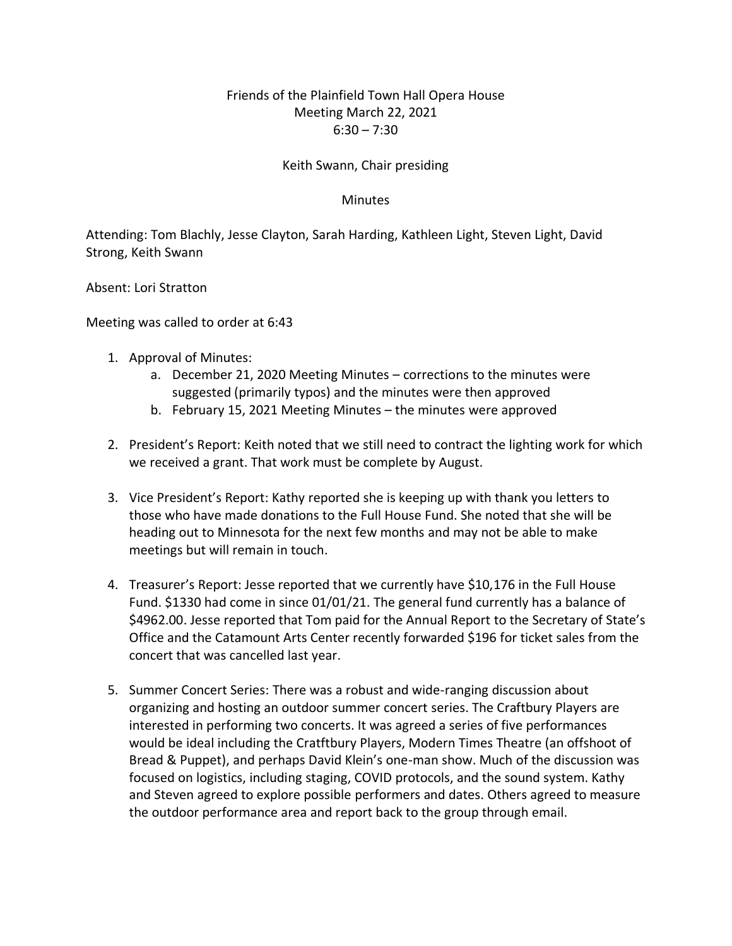## Friends of the Plainfield Town Hall Opera House Meeting March 22, 2021  $6:30 - 7:30$

## Keith Swann, Chair presiding

## **Minutes**

Attending: Tom Blachly, Jesse Clayton, Sarah Harding, Kathleen Light, Steven Light, David Strong, Keith Swann

Absent: Lori Stratton

Meeting was called to order at 6:43

- 1. Approval of Minutes:
	- a. December 21, 2020 Meeting Minutes corrections to the minutes were suggested (primarily typos) and the minutes were then approved
	- b. February 15, 2021 Meeting Minutes the minutes were approved
- 2. President's Report: Keith noted that we still need to contract the lighting work for which we received a grant. That work must be complete by August.
- 3. Vice President's Report: Kathy reported she is keeping up with thank you letters to those who have made donations to the Full House Fund. She noted that she will be heading out to Minnesota for the next few months and may not be able to make meetings but will remain in touch.
- 4. Treasurer's Report: Jesse reported that we currently have \$10,176 in the Full House Fund. \$1330 had come in since 01/01/21. The general fund currently has a balance of \$4962.00. Jesse reported that Tom paid for the Annual Report to the Secretary of State's Office and the Catamount Arts Center recently forwarded \$196 for ticket sales from the concert that was cancelled last year.
- 5. Summer Concert Series: There was a robust and wide-ranging discussion about organizing and hosting an outdoor summer concert series. The Craftbury Players are interested in performing two concerts. It was agreed a series of five performances would be ideal including the Cratftbury Players, Modern Times Theatre (an offshoot of Bread & Puppet), and perhaps David Klein's one-man show. Much of the discussion was focused on logistics, including staging, COVID protocols, and the sound system. Kathy and Steven agreed to explore possible performers and dates. Others agreed to measure the outdoor performance area and report back to the group through email.